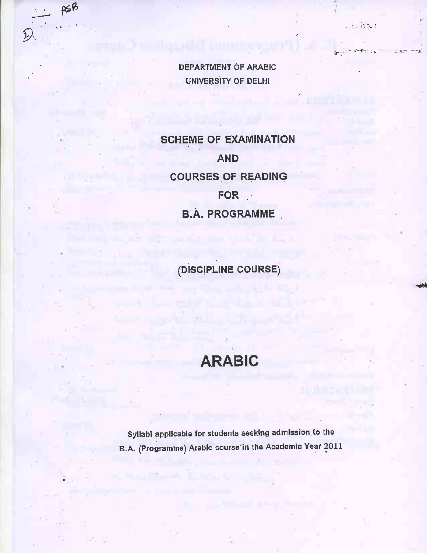**DEPARTMENT OF ARABIC UNIVERSITY OF DELHI** 

 $(1 - \tilde{\mathcal{C}})$ 

ASB

D)

**SCHEME OF EXAMINATION AND COURSES OF READING** FOR : **B.A. PROGRAMME** 

(DISCIPLINE COURSE)

# **ARABIC**

Syllabi applicable for students seeking admission to the B.A. (Programme) Arabic course in the Academic Year 2011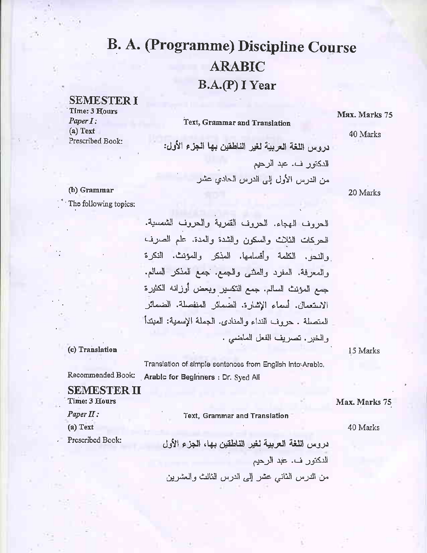# **B. A. (Programme) Discipline Course ARABIC** B.A.(P) I Year

### **SEMESTER I**

Time: 3 Hours  $Paper I:$  $(a)$  Text Prescribed Book:

#### Text, Grammar and Translation

# Max. Marks 75

40 Marks

دروس اللغة العربية لغير الناطقين بها الجزء الأول: الدكتور ف. عبد الرحيم من الدرس الأول إلى الدرس الحادي عشر

20 Marks

### (b) Grammar

The following topics:

الحروف الهجاء. الحروف القمرية والحروف الشمسية. الحركات الثلاث والسكون والشدة والمدة. علم الصرف والنحو. الكلمة وأقسامها. المذكر والمؤنث. النكرة والمعرفة. المفرد والمنتبي والجمع. جمع المذكر السالم. جمع المؤنث السالم. جمع التكسير وبعض أوزانه الكثيرة الاستعمال. أسماء الإشارة. الضمائر المنفصلة. الضمائر المتصلة . حروف النداء والمنادي. الجملة الإسمية: المبتدأ والخبر . تصريف الفعل الماضى .

Translation of simple sentences from English Into Arabic. Recommended Book: Arable for Beginners : Dr. Syed All

Time: 3 Hours

Text, Grammar and Translation

40 Marks

Max. Marks 75

دروس اللغة العربية لغير الناطقين بهاء الجزء الأول الدكتور ف. عبد الرحيم من الدرس الثاني عشر إلى الدرس الثالث والعشرين

15 Marks

(c) Translation

**SEMESTER II** 

Paper II: (a) Text

Prescribed Book: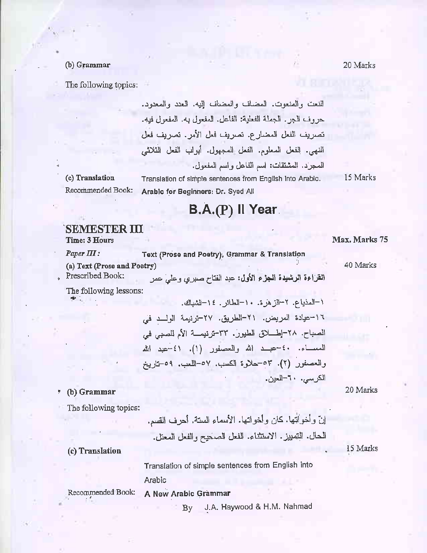#### (b) Grammar

The following topics:

النعت والمنعوت. المضاف والمضاف إليه. العدد والمعدود. حر وف الجر . الجملة الفعلية: الفاعل. المفعول به. المفعول فيه. تصريف الفعل المضارع. تصريف فعل الأمر . تصريف فعل النهي. إلفعل المعلوم. الفعل المجهول. أبواب الفعل الثلاثي المجرَّد. المشتقات: اسم الفاعل واسم المفعول. Translation of simple sentences from English Into Arabic.

(c) Translation Recommended Book: 15 Marks

# B.A.(P) Il Year.

#### 'SEMESTER III **Time: 3 Hours**

 $Paper III:$ 

Text (Prose and Poetry), Grammar & Translation

Arable for Beginners: Dr. Syed All

(a) Text (Prose and Poetry)

Prescribed Book:

القراءة الرشيدة المجزء الأول: عبد الفتاح صبرى وعلى عمر

The following lessons:

أ-المذباع. ٢-الزهرة. ١٠-الطائر . ١٤-الشباك. ١٦-عيادة المريض. ٢١-الطريق. ٢٧-ترنيمة الولمـد في الصباح. ٢٨-إطـــلاق الطيور. ٣٣-ترنيمـــة الأم للصبي في المساء. ٤٠-عبــد الله والعصفور (١). ٤١-عبد الله والعصفور (٢). ٥٣-حلاوة الكسب. ٥٧-اللعب. ٥٩-تاريخ الكرسي. ٢٠-العين.

20 Marks

The following topics:

(b) Grammar

15 Marks

(c) Translation

Translation of simple sentences from English into Arabic

A New Arabic Grammar

Recommended Book:

J.A. Haywood & H.M. Nahmad By

Max. Marks 75

40 Marks

20 Marks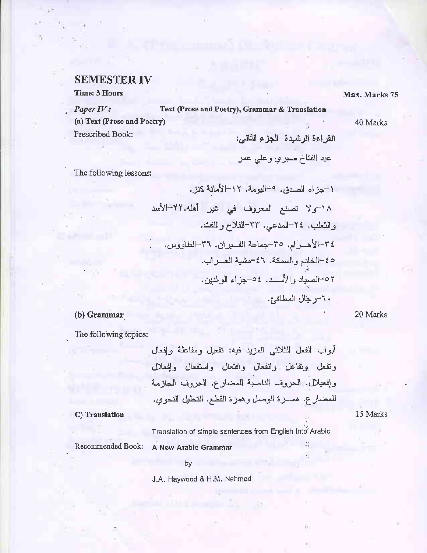### **SEMESTER IV**

Time: 3 Hours

 $Paper *IV* :$ Text (Prose and Poetry), Grammar & Translation (a) Text (Prose and Poetry) Prescribed Book: القراءة الرشيدة الجزء الثاني:

40 Marks

Max. Marks 75

The following lessons:

$$
+ -\frac{1}{2} \left( \frac{1}{2} + \frac{1}{2} \right)
$$
  
\n
$$
+ \frac{1}{2} \left( \frac{1}{2} + \frac{1}{2} \right)
$$
  
\n
$$
+ \frac{1}{2} \left( \frac{1}{2} + \frac{1}{2} \right)
$$
  
\n
$$
= \frac{1}{2} \left( \frac{1}{2} + \frac{1}{2} \right)
$$
  
\n
$$
= \frac{1}{2} \left( \frac{1}{2} + \frac{1}{2} \right)
$$
  
\n
$$
= \frac{1}{2} \left( \frac{1}{2} + \frac{1}{2} \right)
$$
  
\n
$$
= \frac{1}{2} \left( \frac{1}{2} + \frac{1}{2} \right)
$$
  
\n
$$
= \frac{1}{2} \left( \frac{1}{2} + \frac{1}{2} \right)
$$
  
\n
$$
= \frac{1}{2} \left( \frac{1}{2} + \frac{1}{2} \right)
$$
  
\n
$$
= \frac{1}{2} \left( \frac{1}{2} + \frac{1}{2} \right)
$$
  
\n
$$
= \frac{1}{2} \left( \frac{1}{2} + \frac{1}{2} \right)
$$
  
\n
$$
= \frac{1}{2} \left( \frac{1}{2} + \frac{1}{2} \right)
$$
  
\n
$$
= \frac{1}{2} \left( \frac{1}{2} + \frac{1}{2} \right)
$$
  
\n
$$
= \frac{1}{2} \left( \frac{1}{2} + \frac{1}{2} \right)
$$
  
\n
$$
= \frac{1}{2} \left( \frac{1}{2} + \frac{1}{2} \right)
$$
  
\n
$$
= \frac{1}{2} \left( \frac{1}{2} + \frac{1}{2} \right)
$$
  
\n
$$
= \frac{1}{2} \left( \frac{1}{2} + \frac{1}{2} \right)
$$
  
\n
$$
= \frac{1}{2} \left( \frac{1}{2} + \frac{1}{2} \right)
$$
  
\n
$$
= \frac{1}{2} \left( \frac{1}{2} + \frac{1}{2} \right)
$$
  
\n $$ 

عبد الفتاخ صبري وعلي عمر

20 Marks

## (b) Grammar

The following topics:

Ċ

C) Translation Translation of simple sentences from English Into Arabic

Recommended Book:

A New Arabic Grammar

by

J.A. Haywood & H.M. Nahmad

15 Marks

Ų.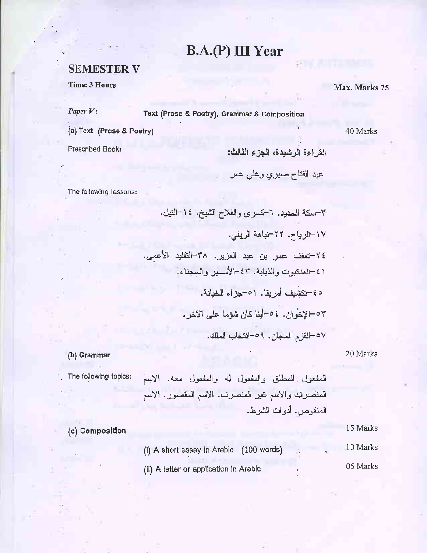# B.A.(P) III Year

### **SEMESTER V**

Time: 3 Hours

 $Paper  $V$ :$ 

Text (Prose & Poetry), Grammar & Composition

(a) Text (Prose & Poetry)

Prescribed Book:

القراءة الرشيدة، الجزء الثالث:

 $\frac{1}{2}$ 

عبد الفتاح صبري وغلي عمر

The following lessons:

#### 20 Marks

### (b) Grammar

The following topics:

المفعول المطلق والمفعول لمه والمفعول معه. الاسم المنصريب والاسم غير المنصرف. الاسم المقصور. الاسم المنقوص، أدوات الشرط.

15 Marks (c) Composition 10 Marks (i) A short essay in Arabic (100 words) 05 Marks (ii) A letter or application in Arabic

Max. Marks 75

40 Marks